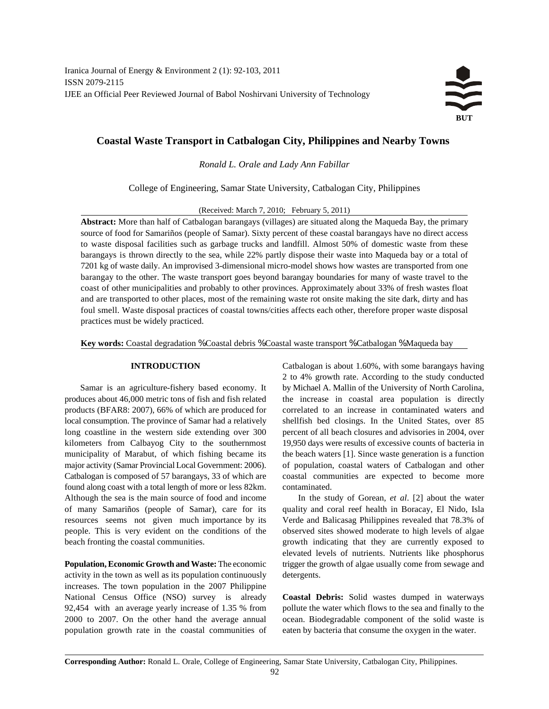

# **Coastal Waste Transport in Catbalogan City, Philippines and Nearby Towns**

*Ronald L. Orale and Lady Ann Fabillar*

College of Engineering, Samar State University, Catbalogan City, Philippines

(Received: March 7, 2010; February 5, 2011)

**Abstract:** More than half of Catbalogan barangays (villages) are situated along the Maqueda Bay, the primary source of food for Samariños (people of Samar). Sixty percent of these coastal barangays have no direct access to waste disposal facilities such as garbage trucks and landfill. Almost 50% of domestic waste from these barangays is thrown directly to the sea, while 22% partly dispose their waste into Maqueda bay or a total of 7201 kg of waste daily. An improvised 3-dimensional micro-model shows how wastes are transported from one barangay to the other. The waste transport goes beyond barangay boundaries for many of waste travel to the coast of other municipalities and probably to other provinces. Approximately about 33% of fresh wastes float and are transported to other places, most of the remaining waste rot onsite making the site dark, dirty and has foul smell. Waste disposal practices of coastal towns/cities affects each other, therefore proper waste disposal practices must be widely practiced.

**Key words:** Coastal degradation % Coastal debris % Coastal waste transport % Catbalogan % Maqueda bay

produces about 46,000 metric tons of fish and fish related the increase in coastal area population is directly products (BFAR8: 2007), 66% of which are produced for correlated to an increase in contaminated waters and local consumption. The province of Samar had a relatively shellfish bed closings. In the United States, over 85 long coastline in the western side extending over 300 percent of all beach closures and advisories in 2004, over kilometers from Calbayog City to the southernmost 19,950 days were results of excessive counts of bacteria in municipality of Marabut, of which fishing became its the beach waters [1]. Since waste generation is a function major activity (Samar Provincial Local Government: 2006). of population, coastal waters of Catbalogan and other Catbalogan is composed of 57 barangays, 33 of which are coastal communities are expected to become more found along coast with a total length of more or less 82km. contaminated. Although the sea is the main source of food and income In the study of Gorean, *et al*. [2] about the water of many Samariños (people of Samar), care for its quality and coral reef health in Boracay, El Nido, Isla resources seems not given much importance by its Verde and Balicasag Philippines revealed that 78.3% of people. This is very evident on the conditions of the observed sites showed moderate to high levels of algae

**Population, Economic Growth and Waste:** The economic trigger the growth of algae usually come from sewage and activity in the town as well as its population continuously detergents. increases. The town population in the 2007 Philippine National Census Office (NSO) survey is already **Coastal Debris:** Solid wastes dumped in waterways 92,454 with an average yearly increase of 1.35 % from pollute the water which flows to the sea and finally to the 2000 to 2007. On the other hand the average annual ocean. Biodegradable component of the solid waste is population growth rate in the coastal communities of eaten by bacteria that consume the oxygen in the water.

**INTRODUCTION** Catbalogan is about 1.60%, with some barangays having Samar is an agriculture-fishery based economy. It by Michael A. Mallin of the University of North Carolina, 2 to 4% growth rate. According to the study conducted

beach fronting the coastal communities. growth indicating that they are currently exposed to elevated levels of nutrients. Nutrients like phosphorus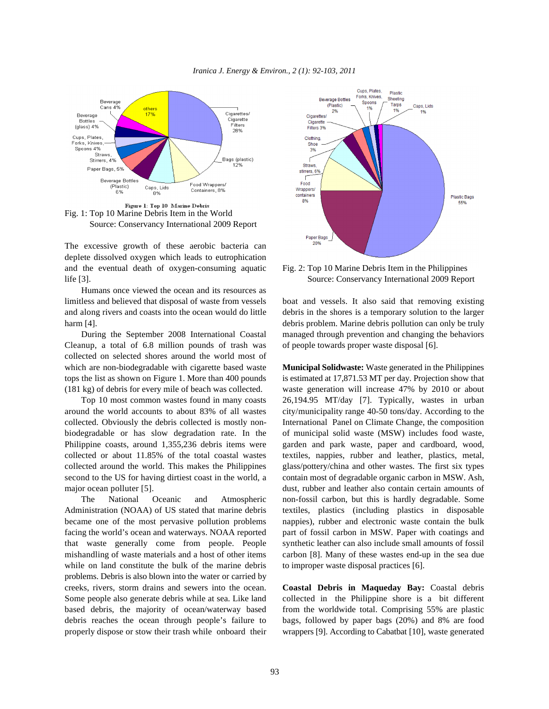



Fig. 1: Top 10 Marine Debris Item in the World Source: Conservancy International 2009 Report

The excessive growth of these aerobic bacteria can deplete dissolved oxygen which leads to eutrophication and the eventual death of oxygen-consuming aquatic Fig. 2: Top 10 Marine Debris Item in the Philippines life [3]. Source: Conservancy International 2009 Report

Humans once viewed the ocean and its resources as limitless and believed that disposal of waste from vessels boat and vessels. It also said that removing existing

Cleanup, a total of 6.8 million pounds of trash was of people towards proper waste disposal [6]. collected on selected shores around the world most of which are non-biodegradable with cigarette based waste **Municipal Solidwaste:** Waste generated in the Philippines tops the list as shown on Figure 1. More than 400 pounds is estimated at 17,871.53 MT per day. Projection show that (181 kg) of debris for every mile of beach was collected. waste generation will increase 47% by 2010 or about

collected or about 11.85% of the total coastal wastes textiles, nappies, rubber and leather, plastics, metal,

Administration (NOAA) of US stated that marine debris textiles, plastics (including plastics in disposable became one of the most pervasive pollution problems nappies), rubber and electronic waste contain the bulk facing the world's ocean and waterways. NOAA reported part of fossil carbon in MSW. Paper with coatings and that waste generally come from people. People synthetic leather can also include small amounts of fossil mishandling of waste materials and a host of other items carbon [8]. Many of these wastes end-up in the sea due while on land constitute the bulk of the marine debris to improper waste disposal practices [6]. problems. Debris is also blown into the water or carried by creeks, rivers, storm drains and sewers into the ocean. **Coastal Debris in Maqueday Bay:** Coastal debris Some people also generate debris while at sea. Like land collected in the Philippine shore is a bit different based debris, the majority of ocean/waterway based from the worldwide total. Comprising 55% are plastic debris reaches the ocean through people's failure to bags, followed by paper bags (20%) and 8% are food properly dispose or stow their trash while onboard their wrappers [9]. According to Cabatbat [10], waste generated



and along rivers and coasts into the ocean would do little debris in the shores is a temporary solution to the larger harm [4]. debris problem. Marine debris pollution can only be truly During the September 2008 International Coastal managed through prevention and changing the behaviors

Top 10 most common wastes found in many coasts 26,194.95 MT/day [7]. Typically, wastes in urban around the world accounts to about 83% of all wastes city/municipality range 40-50 tons/day. According to the collected. Obviously the debris collected is mostly non- International Panel on Climate Change, the composition biodegradable or has slow degradation rate. In the of municipal solid waste (MSW) includes food waste, Philippine coasts, around 1,355,236 debris items were garden and park waste, paper and cardboard, wood, collected around the world. This makes the Philippines glass/pottery/china and other wastes. The first six types second to the US for having dirtiest coast in the world, a contain most of degradable organic carbon in MSW. Ash, major ocean polluter [5]. dust, rubber and leather also contain certain amounts of The National Oceanic and Atmospheric non-fossil carbon, but this is hardly degradable. Some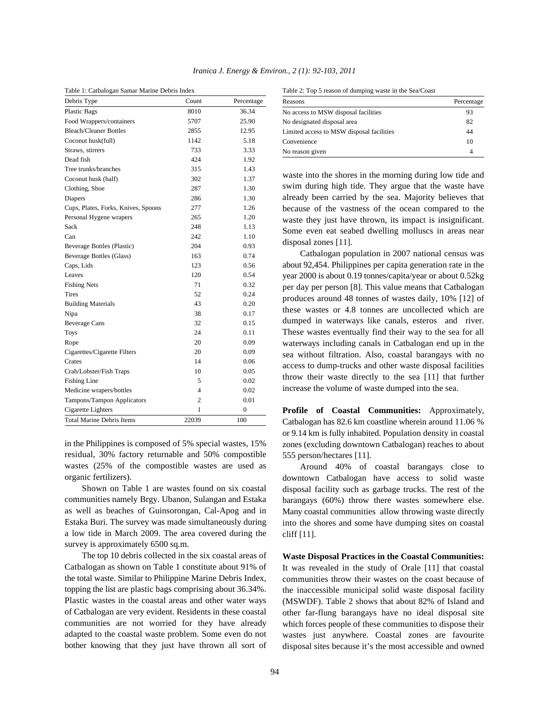|  | Iranica J. Energy & Environ., 2 (1): 92-103, 2011 |  |  |  |  |
|--|---------------------------------------------------|--|--|--|--|
|--|---------------------------------------------------|--|--|--|--|

|  | Table 1: Catbalogan Samar Marine Debris Index |  |  |
|--|-----------------------------------------------|--|--|
|  |                                               |  |  |

| Debris Type                         | Count          | Percentage     |
|-------------------------------------|----------------|----------------|
| <b>Plastic Bags</b>                 | 8010           | 36.34          |
| Food Wrappers/containers            | 5707           | 25.90          |
| <b>Bleach/Cleaner Bottles</b>       | 2855           | 12.95          |
| Coconut husk(full)                  | 1142           | 5.18           |
| Straws, stirrers                    | 733            | 3.33           |
| Dead fish                           | 424            | 1.92           |
| Tree trunks/branches                | 315            | 1.43           |
| Coconut husk (half)                 | 302            | 1.37           |
| Clothing, Shoe                      | 287            | 1.30           |
| Diapers                             | 286            | 1.30           |
| Cups, Plates, Forks, Knives, Spoons | 277            | 1.26           |
| Personal Hygene wrapers             | 265            | 1.20           |
| Sack                                | 248            | 1.13           |
| Can                                 | 242            | 1.10           |
| Beverage Bottles (Plastic)          | 204            | 0.93           |
| Beverage Bottles (Glass)            | 163            | 0.74           |
| Caps, Lids                          | 123            | 0.56           |
| Leaves                              | 120            | 0.54           |
| <b>Fishing Nets</b>                 | 71             | 0.32           |
| Tires                               | 52             | 0.24           |
| <b>Building Materials</b>           | 43             | 0.20           |
| Nipa                                | 38             | 0.17           |
| <b>Beverage Cans</b>                | 32             | 0.15           |
| <b>Toys</b>                         | 24             | 0.11           |
| Rope                                | 20             | 0.09           |
| Cigarettes/Cigarette Filters        | 20             | 0.09           |
| Crates                              | 14             | 0.06           |
| Crab/Lobster/Fish Traps             | 10             | 0.05           |
| <b>Fishing Line</b>                 | 5              | 0.02           |
| Medicine wrapers/bottles            | 4              | 0.02           |
| Tampons/Tampon Applicators          | $\overline{c}$ | 0.01           |
| Cigarette Lighters                  | 1              | $\overline{0}$ |
| <b>Total Marine Debris Items</b>    | 22039          | 100            |

in the Philippines is composed of 5% special wastes, 15% residual, 30% factory returnable and 50% compostible wastes (25% of the compostible wastes are used as organic fertilizers).

Shown on Table 1 are wastes found on six coastal communities namely Brgy. Ubanon, Sulangan and Estaka as well as beaches of Guinsorongan, Cal-Apog and in Estaka Buri. The survey was made simultaneously during a low tide in March 2009. The area covered during the survey is approximately 6500 sq.m.

The top 10 debris collected in the six coastal areas of Catbalogan as shown on Table 1 constitute about 91% of the total waste. Similar to Philippine Marine Debris Index, topping the list are plastic bags comprising about 36.34%. Plastic wastes in the coastal areas and other water ways of Catbalogan are very evident. Residents in these coastal communities are not worried for they have already adapted to the coastal waste problem. Some even do not bother knowing that they just have thrown all sort of

Table 2: Top 5 reason of dumping waste in the Sea/Coast

| Reasons                                   | Percentage |  |  |
|-------------------------------------------|------------|--|--|
| No access to MSW disposal facilities      | 93         |  |  |
| No designated disposal area               | 82         |  |  |
| Limited access to MSW disposal facilities | 44         |  |  |
| Convenience                               | 10         |  |  |
| No reason given                           | 4          |  |  |

waste into the shores in the morning during low tide and swim during high tide. They argue that the waste have already been carried by the sea. Majority believes that because of the vastness of the ocean compared to the waste they just have thrown, its impact is insignificant. Some even eat seabed dwelling molluscs in areas near disposal zones [11].

Catbalogan population in 2007 national census was about 92,454. Philippines per capita generation rate in the year 2000 is about 0.19 tonnes/capita/year or about 0.52kg per day per person [8]. This value means that Catbalogan produces around 48 tonnes of wastes daily, 10% [12] of these wastes or 4.8 tonnes are uncollected which are dumped in waterways like canals, esteros and river. These wastes eventually find their way to the sea for all waterways including canals in Catbalogan end up in the sea without filtration. Also, coastal barangays with no access to dump-trucks and other waste disposal facilities throw their waste directly to the sea [11] that further increase the volume of waste dumped into the sea.

**Profile of Coastal Communities:** Approximately, Catbalogan has 82.6 km coastline wherein around 11.06 % or 9.14 km is fully inhabited. Population density in coastal zones (excluding downtown Catbalogan) reaches to about 555 person/hectares [11].

Around 40% of coastal barangays close to downtown Catbalogan have access to solid waste disposal facility such as garbage trucks. The rest of the barangays (60%) throw there wastes somewhere else. Many coastal communities allow throwing waste directly into the shores and some have dumping sites on coastal cliff [11].

**Waste Disposal Practices in the Coastal Communities:** It was revealed in the study of Orale [11] that coastal communities throw their wastes on the coast because of the inaccessible municipal solid waste disposal facility (MSWDF). Table 2 shows that about 82% of Island and other far-flung barangays have no ideal disposal site which forces people of these communities to dispose their wastes just anywhere. Coastal zones are favourite disposal sites because it's the most accessible and owned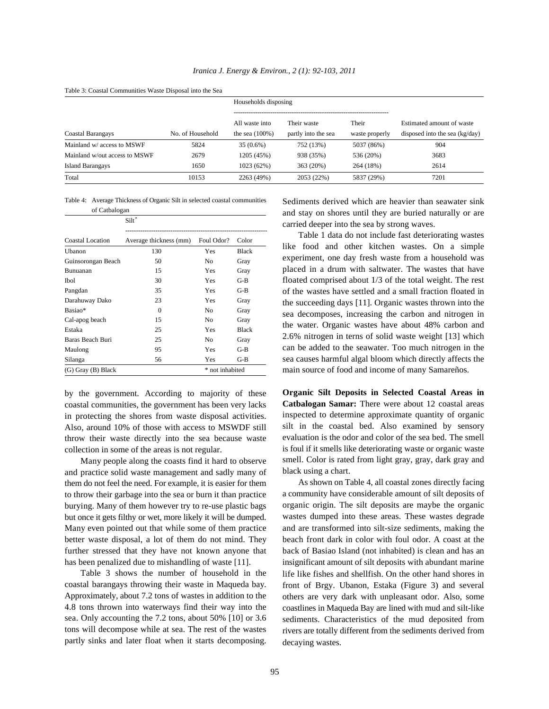|                               |                  | Households disposing                |                                    |                         |                                                               |  |
|-------------------------------|------------------|-------------------------------------|------------------------------------|-------------------------|---------------------------------------------------------------|--|
| Coastal Barangays             | No. of Household | All waste into<br>the sea $(100\%)$ | Their waste<br>partly into the sea | Their<br>waste properly | Estimated amount of waste<br>disposed into the sea $(kg/day)$ |  |
| Mainland w/ access to MSWF    | 5824             | $35(0.6\%)$                         | 752 (13%)                          | 5037 (86%)              | 904                                                           |  |
| Mainland w/out access to MSWF | 2679             | 1205 (45%)                          | 938 (35%)                          | 536 (20%)               | 3683                                                          |  |
| Island Barangays              | 1650             | 1023 (62%)                          | 363 (20%)                          | 264 (18%)               | 2614                                                          |  |
| Total                         | 10153            | 2263 (49%)                          | 2053 (22%)                         | 5837 (29%)              | 7201                                                          |  |

Table 4: Average Thickness of Organic Silt in selected coastal communities

of Catbalogan

| UI Catualugali          |                        |                 |              |
|-------------------------|------------------------|-----------------|--------------|
|                         | Siltö                  |                 |              |
| <b>Coastal Location</b> | Average thickness (mm) | Foul Odor?      | Color        |
| Ubanon                  | 130                    | Yes             | <b>Black</b> |
| Guinsorongan Beach      | 50                     | N <sub>0</sub>  | Gray         |
| Bunuanan                | 15                     | Yes             | Gray         |
| Ibol                    | 30                     | Yes             | $G-B$        |
| Pangdan                 | 35                     | Yes             | $G-B$        |
| Darahuway Dako          | 23                     | Yes             | Gray         |
| Basiao*                 | $\Omega$               | No              | Gray         |
| Cal-apog beach          | 15                     | No              | Gray         |
| Estaka                  | 25                     | Yes             | <b>Black</b> |
| Baras Beach Buri        | 25                     | No              | Gray         |
| Maulong                 | 95                     | Yes             | $G-B$        |
| Silanga                 | 56                     | Yes             | $G-B$        |
| (G) Gray (B) Black      |                        | * not inhabited |              |

by the government. According to majority of these coastal communities, the government has been very lacks in protecting the shores from waste disposal activities. Also, around 10% of those with access to MSWDF still throw their waste directly into the sea because waste collection in some of the areas is not regular.

Many people along the coasts find it hard to observe and practice solid waste management and sadly many of them do not feel the need. For example, it is easier for them to throw their garbage into the sea or burn it than practice burying. Many of them however try to re-use plastic bags but once it gets filthy or wet, more likely it will be dumped. Many even pointed out that while some of them practice better waste disposal, a lot of them do not mind. They further stressed that they have not known anyone that has been penalized due to mishandling of waste [11].

Table 3 shows the number of household in the coastal barangays throwing their waste in Maqueda bay. Approximately, about 7.2 tons of wastes in addition to the 4.8 tons thrown into waterways find their way into the sea. Only accounting the 7.2 tons, about 50% [10] or 3.6 tons will decompose while at sea. The rest of the wastes partly sinks and later float when it starts decomposing. Sediments derived which are heavier than seawater sink and stay on shores until they are buried naturally or are carried deeper into the sea by strong waves.

sea causes harmful algal bloom which directly affects the Table 1 data do not include fast deteriorating wastes like food and other kitchen wastes. On a simple experiment, one day fresh waste from a household was placed in a drum with saltwater. The wastes that have floated comprised about 1/3 of the total weight. The rest of the wastes have settled and a small fraction floated in the succeeding days [11]. Organic wastes thrown into the sea decomposes, increasing the carbon and nitrogen in the water. Organic wastes have about 48% carbon and 2.6% nitrogen in terns of solid waste weight [13] which can be added to the seawater. Too much nitrogen in the main source of food and income of many Samareños.

**Organic Silt Deposits in Selected Coastal Areas in Catbalogan Samar:** There were about 12 coastal areas inspected to determine approximate quantity of organic silt in the coastal bed. Also examined by sensory evaluation is the odor and color of the sea bed. The smell is foul if it smells like deteriorating waste or organic waste smell. Color is rated from light gray, gray, dark gray and black using a chart.

As shown on Table 4, all coastal zones directly facing a community have considerable amount of silt deposits of organic origin. The silt deposits are maybe the organic wastes dumped into these areas. These wastes degrade and are transformed into silt-size sediments, making the beach front dark in color with foul odor. A coast at the back of Basiao Island (not inhabited) is clean and has an insignificant amount of silt deposits with abundant marine life like fishes and shellfish. On the other hand shores in front of Brgy. Ubanon, Estaka (Figure 3) and several others are very dark with unpleasant odor. Also, some coastlines in Maqueda Bay are lined with mud and silt-like sediments. Characteristics of the mud deposited from rivers are totally different from the sediments derived from decaying wastes.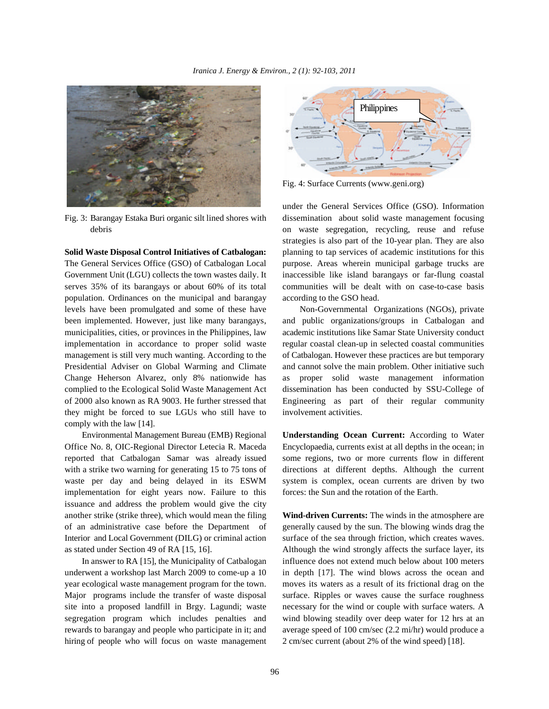

The General Services Office (GSO) of Catbalogan Local purpose. Areas wherein municipal garbage trucks are Government Unit (LGU) collects the town wastes daily. It inaccessible like island barangays or far-flung coastal serves 35% of its barangays or about 60% of its total communities will be dealt with on case-to-case basis population. Ordinances on the municipal and barangay according to the GSO head. levels have been promulgated and some of these have Non-Governmental Organizations (NGOs), private been implemented. However, just like many barangays, and public organizations/groups in Catbalogan and municipalities, cities, or provinces in the Philippines, law academic institutions like Samar State University conduct implementation in accordance to proper solid waste regular coastal clean-up in selected coastal communities management is still very much wanting. According to the of Catbalogan. However these practices are but temporary Presidential Adviser on Global Warming and Climate and cannot solve the main problem. Other initiative such Change Heherson Alvarez, only 8% nationwide has as proper solid waste management information complied to the Ecological Solid Waste Management Act dissemination has been conducted by SSU-College of of 2000 also known as RA 9003. He further stressed that Engineering as part of their regular community they might be forced to sue LGUs who still have to involvement activities. comply with the law [14].

Office No. 8, OIC-Regional Director Letecia R. Maceda Encyclopaedia, currents exist at all depths in the ocean; in reported that Catbalogan Samar was already issued some regions, two or more currents flow in different with a strike two warning for generating 15 to 75 tons of directions at different depths. Although the current waste per day and being delayed in its ESWM system is complex, ocean currents are driven by two implementation for eight years now. Failure to this forces: the Sun and the rotation of the Earth. issuance and address the problem would give the city another strike (strike three), which would mean the filing **Wind-driven Currents:** The winds in the atmosphere are

year ecological waste management program for the town. moves its waters as a result of its frictional drag on the Major programs include the transfer of waste disposal surface. Ripples or waves cause the surface roughness hiring of people who will focus on waste management 2 cm/sec current (about 2% of the wind speed) [18].



Fig. 4: Surface Currents (www.geni.org)

Fig. 3: Barangay Estaka Buri organic silt lined shores with dissemination about solid waste management focusing debris on waste segregation, recycling, reuse and refuse **Solid Waste Disposal Control Initiatives of Catbalogan:** planning to tap services of academic institutions for this under the General Services Office (GSO). Information strategies is also part of the 10-year plan. They are also

Environmental Management Bureau (EMB) Regional **Understanding Ocean Current:** According to Water

of an administrative case before the Department of generally caused by the sun. The blowing winds drag the Interior and Local Government (DILG) or criminal action surface of the sea through friction, which creates waves. as stated under Section 49 of RA [15, 16]. Although the wind strongly affects the surface layer, its In answer to RA [15], the Municipality of Catbalogan influence does not extend much below about 100 meters underwent a workshop last March 2009 to come-up a 10 in depth [17]. The wind blows across the ocean and site into a proposed landfill in Brgy. Lagundi; waste necessary for the wind or couple with surface waters. A segregation program which includes penalties and wind blowing steadily over deep water for 12 hrs at an rewards to barangay and people who participate in it; and average speed of 100 cm/sec (2.2 mi/hr) would produce a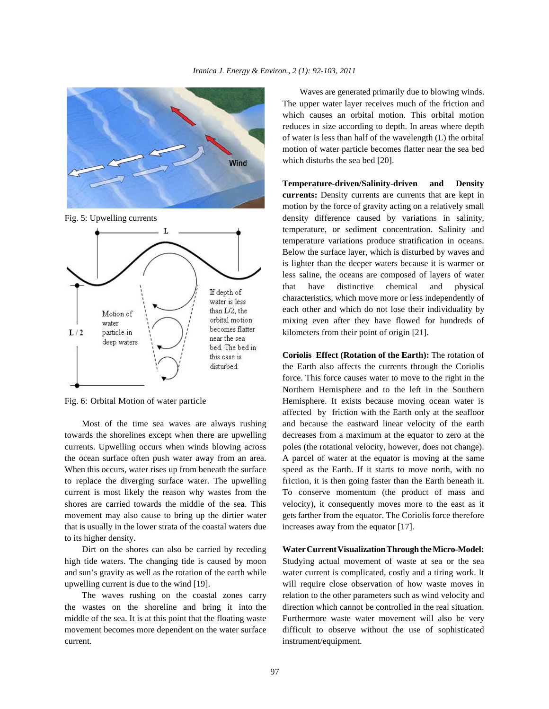





towards the shorelines except when there are upwelling decreases from a maximum at the equator to zero at the currents. Upwelling occurs when winds blowing across poles (the rotational velocity, however, does not change). the ocean surface often push water away from an area. A parcel of water at the equator is moving at the same When this occurs, water rises up from beneath the surface speed as the Earth. If it starts to move north, with no to replace the diverging surface water. The upwelling friction, it is then going faster than the Earth beneath it. current is most likely the reason why wastes from the To conserve momentum (the product of mass and shores are carried towards the middle of the sea. This velocity), it consequently moves more to the east as it movement may also cause to bring up the dirtier water gets farther from the equator. The Coriolis force therefore that is usually in the lower strata of the coastal waters due increases away from the equator [17]. to its higher density.

Dirt on the shores can also be carried by receding **Water Current Visualization Through the Micro-Model:** high tide waters. The changing tide is caused by moon Studying actual movement of waste at sea or the sea and sun's gravity as well as the rotation of the earth while water current is complicated, costly and a tiring work. It upwelling current is due to the wind [19]. will require close observation of how waste moves in

the wastes on the shoreline and bring it into the direction which cannot be controlled in the real situation. middle of the sea. It is at this point that the floating waste Furthermore waste water movement will also be very movement becomes more dependent on the water surface difficult to observe without the use of sophisticated current. instrument/equipment.

Waves are generated primarily due to blowing winds. The upper water layer receives much of the friction and which causes an orbital motion. This orbital motion reduces in size according to depth. In areas where depth of water is less than half of the wavelength (L) the orbital motion of water particle becomes flatter near the sea bed which disturbs the sea bed [20].

Fig. 5: Upwelling currents density difference caused by variations in salinity, **Temperature-driven/Salinity-driven and Density currents:** Density currents are currents that are kept in motion by the force of gravity acting on a relatively small temperature, or sediment concentration. Salinity and temperature variations produce stratification in oceans. Below the surface layer, which is disturbed by waves and is lighter than the deeper waters because it is warmer or less saline, the oceans are composed of layers of water that have distinctive chemical and physical characteristics, which move more or less independently of each other and which do not lose their individuality by mixing even after they have flowed for hundreds of kilometers from their point of origin [21].

Fig. 6: Orbital Motion of water particle Hemisphere. It exists because moving ocean water is Most of the time sea waves are always rushing and because the eastward linear velocity of the earth **Coriolis Effect (Rotation of the Earth):** The rotation of the Earth also affects the currents through the Coriolis force. This force causes water to move to the right in the Northern Hemisphere and to the left in the Southern affected by friction with the Earth only at the seafloor

The waves rushing on the coastal zones carry relation to the other parameters such as wind velocity and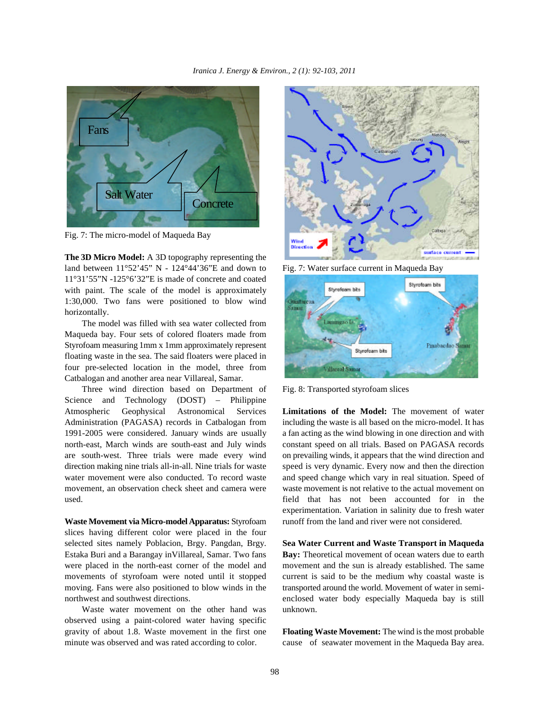

Fig. 7: The micro-model of Maqueda Bay

**The 3D Micro Model:** A 3D topography representing the land between  $11^{\circ}52'45''$  N -  $124^{\circ}44'36''E$  and down to Fig. 7: Water surface current in Maqueda Bay 11°31'55"N -125°6'32"E is made of concrete and coated with paint. The scale of the model is approximately 1:30,000. Two fans were positioned to blow wind horizontally.

The model was filled with sea water collected from Maqueda bay. Four sets of colored floaters made from Styrofoam measuring 1mm x 1mm approximately represent floating waste in the sea. The said floaters were placed in four pre-selected location in the model, three from Catbalogan and another area near Villareal, Samar.

Three wind direction based on Department of Fig. 8: Transported styrofoam slices Science and Technology (DOST) – Philippine Atmospheric Geophysical Astronomical Services **Limitations of the Model:** The movement of water Administration (PAGASA) records in Catbalogan from including the waste is all based on the micro-model. It has 1991-2005 were considered. January winds are usually a fan acting as the wind blowing in one direction and with north-east, March winds are south-east and July winds constant speed on all trials. Based on PAGASA records are south-west. Three trials were made every wind on prevailing winds, it appears that the wind direction and direction making nine trials all-in-all. Nine trials for waste speed is very dynamic. Every now and then the direction water movement were also conducted. To record waste and speed change which vary in real situation. Speed of movement, an observation check sheet and camera were waste movement is not relative to the actual movement on used. field that has not been accounted for in the

slices having different color were placed in the four selected sites namely Poblacion, Brgy. Pangdan, Brgy. **Sea Water Current and Waste Transport in Maqueda** Estaka Buri and a Barangay inVillareal, Samar. Two fans **Bay:** Theoretical movement of ocean waters due to earth were placed in the north-east corner of the model and movement and the sun is already established. The same movements of styrofoam were noted until it stopped current is said to be the medium why coastal waste is moving. Fans were also positioned to blow winds in the transported around the world. Movement of water in semi-

Waste water movement on the other hand was unknown. observed using a paint-colored water having specific gravity of about 1.8. Waste movement in the first one **Floating Waste Movement:** The wind is the most probable minute was observed and was rated according to color. cause of seawater movement in the Maqueda Bay area.





Waste Movement via Micro-model Apparatus: Styrofoam runoff from the land and river were not considered. experimentation. Variation in salinity due to fresh water

northwest and southwest directions. enclosed water body especially Maqueda bay is still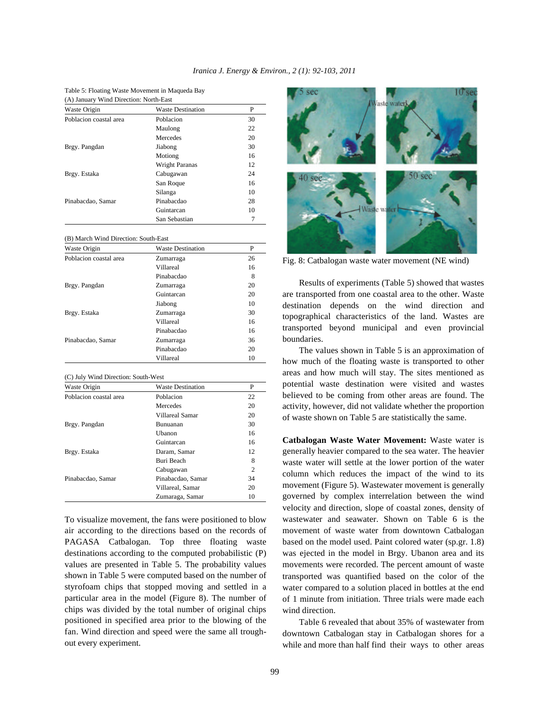Table 5: Floating Waste Movement in Maqueda Bay

| (A) January Wind Direction: North-East |                          |    |  |
|----------------------------------------|--------------------------|----|--|
| Waste Origin                           | <b>Waste Destination</b> | P  |  |
| Poblacion coastal area                 | Poblacion                | 30 |  |
|                                        | Maulong                  | 22 |  |
|                                        | Mercedes                 | 20 |  |
| Brgy. Pangdan                          | Jiabong                  | 30 |  |
|                                        | Motiong                  | 16 |  |
|                                        | Wright Paranas           | 12 |  |
| Brgy. Estaka                           | Cabugawan                | 24 |  |
|                                        | San Roque                | 16 |  |
|                                        | Silanga                  | 10 |  |
| Pinabacdao, Samar                      | Pinabacdao               | 28 |  |
|                                        | Guintarcan               | 10 |  |
|                                        | San Sebastian            |    |  |

#### (B) March Wind Direction: South-East

| Waste Origin           | <b>Waste Destination</b> | P  |
|------------------------|--------------------------|----|
| Poblacion coastal area | Zumarraga                | 26 |
|                        | Villareal                | 16 |
|                        | Pinabacdao               | 8  |
| Brgy. Pangdan          | Zumarraga                | 20 |
|                        | Guintarcan               | 20 |
|                        | Jiabong                  | 10 |
| Brgy. Estaka           | Zumarraga                | 30 |
|                        | Villareal                | 16 |
|                        | Pinabacdao               | 16 |
| Pinabacdao, Samar      | Zumarraga                | 36 |
|                        | Pinabacdao               | 20 |
|                        | Villareal                | 10 |

### (C) July Wind Direction: South-West

| Waste Origin           | <b>Waste Destination</b> | P              |
|------------------------|--------------------------|----------------|
| Poblacion coastal area | Poblacion                | 22             |
|                        | Mercedes                 | 20             |
|                        | Villareal Samar          | 20             |
| Brgy. Pangdan          | Bunuanan                 | 30             |
|                        | <b>Uhanon</b>            | 16             |
|                        | Guintarcan               | 16             |
| Brgy. Estaka           | Daram, Samar             | 12             |
|                        | Buri Beach               | 8              |
|                        | Cabugawan                | $\overline{c}$ |
| Pinabacdao, Samar      | Pinabacdao, Samar        | 34             |
|                        | Villareal, Samar         | 20             |
|                        | Zumaraga, Samar          | 10             |

To visualize movement, the fans were positioned to blow air according to the directions based on the records of PAGASA Catbalogan. Top three floating waste based on the model used. Paint colored water (sp.gr. 1.8) destinations according to the computed probabilistic (P) values are presented in Table 5. The probability values shown in Table 5 were computed based on the number of styrofoam chips that stopped moving and settled in a particular area in the model (Figure 8). The number of chips was divided by the total number of original chips positioned in specified area prior to the blowing of the fan. Wind direction and speed were the same all troughout every experiment.



Fig. 8: Catbalogan waste water movement (NE wind)

Results of experiments (Table 5) showed that wastes are transported from one coastal area to the other. Waste destination depends on the wind direction and topographical characteristics of the land. Wastes are transported beyond municipal and even provincial boundaries.

The values shown in Table 5 is an approximation of how much of the floating waste is transported to other areas and how much will stay. The sites mentioned as potential waste destination were visited and wastes believed to be coming from other areas are found. The activity, however, did not validate whether the proportion of waste shown on Table 5 are statistically the same.

**Catbalogan Waste Water Movement:** Waste water is generally heavier compared to the sea water. The heavier waste water will settle at the lower portion of the water column which reduces the impact of the wind to its movement (Figure 5). Wastewater movement is generally governed by complex interrelation between the wind velocity and direction, slope of coastal zones, density of wastewater and seawater. Shown on Table 6 is the movement of waste water from downtown Catbalogan was ejected in the model in Brgy. Ubanon area and its movements were recorded. The percent amount of waste transported was quantified based on the color of the water compared to a solution placed in bottles at the end of 1 minute from initiation. Three trials were made each wind direction.

Table 6 revealed that about 35% of wastewater from downtown Catbalogan stay in Catbalogan shores for a while and more than half find their ways to other areas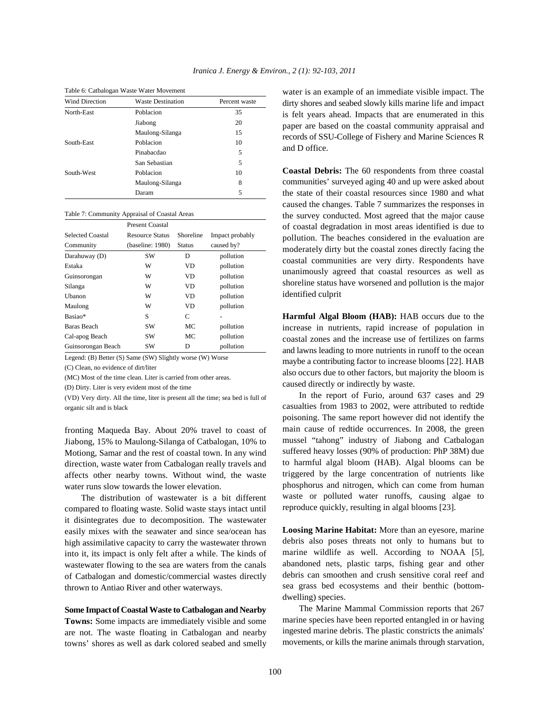| <b>Wind Direction</b> | <b>Waste Destination</b> | Percent waste |
|-----------------------|--------------------------|---------------|
| North-East            | Poblacion                | 35            |
|                       | Jiabong                  | 20            |
|                       | Maulong-Silanga          | 15            |
| South-East            | Poblacion                | 10            |
|                       | Pinabacdao               | 5             |
|                       | San Sebastian            | 5             |
| South-West            | Poblacion                | 10            |
|                       | Maulong-Silanga          | 8             |
|                       | Daram                    | 5             |

Table 6: Catbalogan Waste Water Movement

#### Table 7: Community Appraisal of Coastal Areas

|                         | <b>Present Coastal</b> |               |                 |
|-------------------------|------------------------|---------------|-----------------|
| <b>Selected Coastal</b> | <b>Resource Status</b> | Shoreline     | Impact probably |
| Community               | (baseline: 1980)       | <b>Status</b> | caused by?      |
| Darahuway (D)           | <b>SW</b>              | D             | pollution       |
| Estaka                  | W                      | VD            | pollution       |
| Guinsorongan            | W                      | VD            | pollution       |
| Silanga                 | W                      | VD            | pollution       |
| Uhanon                  | W                      | VD            | pollution       |
| Maulong                 | W                      | VD            | pollution       |
| Basiao*                 | S                      | C             |                 |
| Baras Beach             | SW                     | MC.           | pollution       |
| Cal-apog Beach          | <b>SW</b>              | МC            | pollution       |
| Guinsorongan Beach      | SW                     | D             | pollution       |

Legend: (B) Better (S) Same (SW) Slightly worse (W) Worse

(C) Clean, no evidence of dirt/liter

(MC) Most of the time clean. Liter is carried from other areas.

(D) Dirty. Liter is very evident most of the time

(VD) Very dirty. All the time, liter is present all the time; sea bed is full of organic silt and is black

fronting Maqueda Bay. About 20% travel to coast of Jiabong, 15% to Maulong-Silanga of Catbalogan, 10% to Motiong, Samar and the rest of coastal town. In any wind direction, waste water from Catbalogan really travels and affects other nearby towns. Without wind, the waste water runs slow towards the lower elevation.

The distribution of wastewater is a bit different compared to floating waste. Solid waste stays intact until it disintegrates due to decomposition. The wastewater easily mixes with the seawater and since sea/ocean has high assimilative capacity to carry the wastewater thrown into it, its impact is only felt after a while. The kinds of wastewater flowing to the sea are waters from the canals of Catbalogan and domestic/commercial wastes directly thrown to Antiao River and other waterways.

## **Some Impact of Coastal Waste to Catbalogan and Nearby**

**Towns:** Some impacts are immediately visible and some are not. The waste floating in Catbalogan and nearby towns' shores as well as dark colored seabed and smelly water is an example of an immediate visible impact. The dirty shores and seabed slowly kills marine life and impact is felt years ahead. Impacts that are enumerated in this paper are based on the coastal community appraisal and records of SSU-College of Fishery and Marine Sciences R and D office.

**Coastal Debris:** The 60 respondents from three coastal communities' surveyed aging 40 and up were asked about the state of their coastal resources since 1980 and what caused the changes. Table 7 summarizes the responses in the survey conducted. Most agreed that the major cause of coastal degradation in most areas identified is due to pollution. The beaches considered in the evaluation are moderately dirty but the coastal zones directly facing the coastal communities are very dirty. Respondents have unanimously agreed that coastal resources as well as shoreline status have worsened and pollution is the major identified culprit

**Harmful Algal Bloom (HAB):** HAB occurs due to the increase in nutrients, rapid increase of population in coastal zones and the increase use of fertilizes on farms and lawns leading to more nutrients in runoff to the ocean maybe a contributing factor to increase blooms [22]. HAB also occurs due to other factors, but majority the bloom is caused directly or indirectly by waste.

In the report of Furio, around 637 cases and 29 casualties from 1983 to 2002, were attributed to redtide poisoning. The same report however did not identify the main cause of redtide occurrences. In 2008, the green mussel "tahong" industry of Jiabong and Catbalogan suffered heavy losses (90% of production: PhP 38M) due to harmful algal bloom (HAB). Algal blooms can be triggered by the large concentration of nutrients like phosphorus and nitrogen, which can come from human waste or polluted water runoffs, causing algae to reproduce quickly, resulting in algal blooms [23].

**Loosing Marine Habitat:** More than an eyesore, marine debris also poses threats not only to humans but to marine wildlife as well. According to NOAA [5], abandoned nets, plastic tarps, fishing gear and other debris can smoothen and crush sensitive coral reef and sea grass bed ecosystems and their benthic (bottomdwelling) species.

The Marine Mammal Commission reports that 267 marine species have been reported entangled in or having ingested marine debris. The plastic constricts the animals' movements, or kills the marine animals through starvation,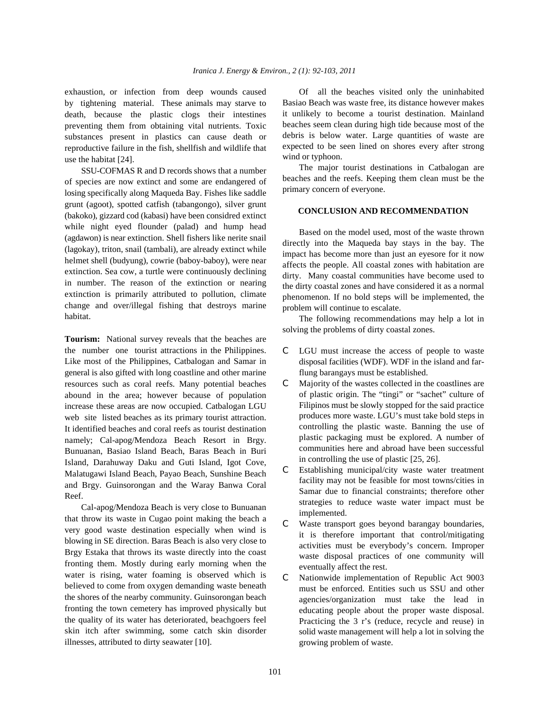by tightening material. These animals may starve to death, because the plastic clogs their intestines preventing them from obtaining vital nutrients. Toxic substances present in plastics can cause death or reproductive failure in the fish, shellfish and wildlife that use the habitat [24].

SSU-COFMAS R and D records shows that a number of species are now extinct and some are endangered of losing specifically along Maqueda Bay. Fishes like saddle grunt (agoot), spotted catfish (tabangongo), silver grunt (bakoko), gizzard cod (kabasi) have been considred extinct while night eyed flounder (palad) and hump head (agdawon) is near extinction. Shell fishers like nerite snail (lagokay), triton, snail (tambali), are already extinct while helmet shell (budyung), cowrie (baboy-baboy), were near extinction. Sea cow, a turtle were continuously declining in number. The reason of the extinction or nearing extinction is primarily attributed to pollution, climate change and over/illegal fishing that destroys marine habitat.

**Tourism:** National survey reveals that the beaches are the number one tourist attractions in the Philippines. Like most of the Philippines, Catbalogan and Samar in general is also gifted with long coastline and other marine resources such as coral reefs. Many potential beaches abound in the area; however because of population increase these areas are now occupied. Catbalogan LGU web site listed beaches as its primary tourist attraction. It identified beaches and coral reefs as tourist destination namely; Cal-apog/Mendoza Beach Resort in Brgy. Bunuanan, Basiao Island Beach, Baras Beach in Buri Island, Darahuway Daku and Guti Island, Igot Cove, Malatugawi Island Beach, Payao Beach, Sunshine Beach and Brgy. Guinsorongan and the Waray Banwa Coral Reef.

Cal-apog/Mendoza Beach is very close to Bunuanan that throw its waste in Cugao point making the beach a very good waste destination especially when wind is blowing in SE direction. Baras Beach is also very close to Brgy Estaka that throws its waste directly into the coast fronting them. Mostly during early morning when the water is rising, water foaming is observed which is believed to come from oxygen demanding waste beneath the shores of the nearby community. Guinsorongan beach fronting the town cemetery has improved physically but the quality of its water has deteriorated, beachgoers feel skin itch after swimming, some catch skin disorder illnesses, attributed to dirty seawater [10].

exhaustion, or infection from deep wounds caused Of all the beaches visited only the uninhabited Basiao Beach was waste free, its distance however makes it unlikely to become a tourist destination. Mainland beaches seem clean during high tide because most of the debris is below water. Large quantities of waste are expected to be seen lined on shores every after strong wind or typhoon.

> The major tourist destinations in Catbalogan are beaches and the reefs. Keeping them clean must be the primary concern of everyone.

## **CONCLUSION AND RECOMMENDATION**

Based on the model used, most of the waste thrown directly into the Maqueda bay stays in the bay. The impact has become more than just an eyesore for it now affects the people. All coastal zones with habitation are dirty. Many coastal communities have become used to the dirty coastal zones and have considered it as a normal phenomenon. If no bold steps will be implemented, the problem will continue to escalate.

The following recommendations may help a lot in solving the problems of dirty coastal zones.

- C LGU must increase the access of people to waste disposal facilities (WDF). WDF in the island and farflung barangays must be established.
- C Majority of the wastes collected in the coastlines are of plastic origin. The "tingi" or "sachet" culture of Filipinos must be slowly stopped for the said practice produces more waste. LGU's must take bold steps in controlling the plastic waste. Banning the use of plastic packaging must be explored. A number of communities here and abroad have been successful in controlling the use of plastic [25, 26].
- C Establishing municipal/city waste water treatment facility may not be feasible for most towns/cities in Samar due to financial constraints; therefore other strategies to reduce waste water impact must be implemented.
- C Waste transport goes beyond barangay boundaries, it is therefore important that control/mitigating activities must be everybody's concern. Improper waste disposal practices of one community will eventually affect the rest.
- C Nationwide implementation of Republic Act 9003 must be enforced. Entities such us SSU and other agencies/organization must take the lead in educating people about the proper waste disposal. Practicing the 3 r's (reduce, recycle and reuse) in solid waste management will help a lot in solving the growing problem of waste.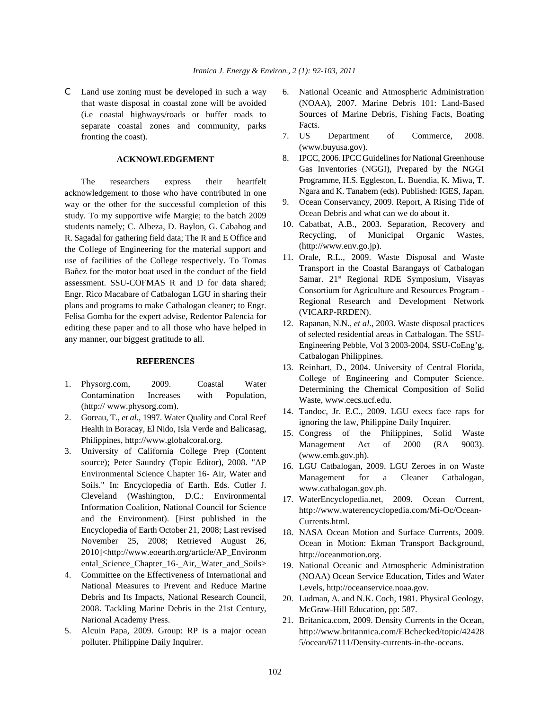C Land use zoning must be developed in such a way 6. National Oceanic and Atmospheric Administration that waste disposal in coastal zone will be avoided (i.e coastal highways/roads or buffer roads to separate coastal zones and community, parks fronting the coast).

## **ACKNOWLEDGEMENT**

The researchers express their heartfelt acknowledgement to those who have contributed in one way or the other for the successful completion of this study. To my supportive wife Margie; to the batch 2009 students namely; C. Albeza, D. Baylon, G. Cabahog and R. Sagadal for gathering field data; The R and E Office and the College of Engineering for the material support and use of facilities of the College respectively. To Tomas Bañez for the motor boat used in the conduct of the field assessment. SSU-COFMAS R and D for data shared; Engr. Rico Macabare of Catbalogan LGU in sharing their plans and programs to make Catbalogan cleaner; to Engr. Felisa Gomba for the expert advise, Redentor Palencia for editing these paper and to all those who have helped in any manner, our biggest gratitude to all.

## **REFERENCES**

- 1. Physorg.com, 2009. Coastal Water Contamination Increases with Population, (http:// www.physorg.com).
- 2. Goreau, T., *et al*., 1997. Water Quality and Coral Reef Health in Boracay, El Nido, Isla Verde and Balicasag, Philippines, http://www.globalcoral.org.
- 3. University of California College Prep (Content source); Peter Saundry (Topic Editor), 2008. "AP Environmental Science Chapter 16- Air, Water and Soils." In: Encyclopedia of Earth. Eds. Cutler J. Cleveland (Washington, D.C.: Environmental Information Coalition, National Council for Science and the Environment). [First published in the Encyclopedia of Earth October 21, 2008; Last revised November 25, 2008; Retrieved August 26, 2010]<http://www.eoearth.org/article/AP\_Environm ental\_Science\_Chapter\_16-\_Air,\_Water\_and\_Soils>
- 4. Committee on the Effectiveness of International and National Measures to Prevent and Reduce Marine Debris and Its Impacts, National Research Council, 2008. Tackling Marine Debris in the 21st Century, Narional Academy Press.
- 5. Alcuin Papa, 2009. Group: RP is a major ocean polluter. Philippine Daily Inquirer.
- (NOAA), 2007. Marine Debris 101: Land-Based Sources of Marine Debris, Fishing Facts, Boating Facts.
- 7. US Department of Commerce, 2008. (www.buyusa.gov).
- 8. IPCC, 2006. IPCC Guidelines for National Greenhouse Gas Inventories (NGGI), Prepared by the NGGI Programme, H.S. Eggleston, L. Buendia, K. Miwa, T. Ngara and K. Tanabem (eds). Published: IGES, Japan.
- 9. Ocean Conservancy, 2009. Report, A Rising Tide of Ocean Debris and what can we do about it.
- 10. Cabatbat, A.B., 2003. Separation, Recovery and Recycling, of Municipal Organic Wastes, (http://www.env.go.jp).
- 11. Orale, R.L., 2009. Waste Disposal and Waste Transport in the Coastal Barangays of Catbalogan Samar. 21<sup>st</sup> Regional RDE Symposium, Visayas Consortium for Agriculture and Resources Program - Regional Research and Development Network (VICARP-RRDEN).
- 12. Rapanan, N.N., *et al*., 2003. Waste disposal practices of selected residential areas in Catbalogan. The SSU-Engineering Pebble, Vol 3 2003-2004, SSU-CoEng'g, Catbalogan Philippines.
- 13. Reinhart, D., 2004. University of Central Florida, College of Engineering and Computer Science. Determining the Chemical Composition of Solid Waste, www.cecs.ucf.edu.
- 14. Tandoc, Jr. E.C., 2009. LGU execs face raps for ignoring the law, Philippine Daily Inquirer.
- 15. Congress of the Philippines, Solid Waste Management Act of 2000 (RA 9003). (www.emb.gov.ph).
- 16. LGU Catbalogan, 2009. LGU Zeroes in on Waste Management for a Cleaner Catbalogan, www.catbalogan.gov.ph.
- 17. WaterEncyclopedia.net, 2009. Ocean Current, http://www.waterencyclopedia.com/Mi-Oc/Ocean-Currents.html.
- 18. NASA Ocean Motion and Surface Currents, 2009. Ocean in Motion: Ekman Transport Background, http://oceanmotion.org.
- 19. National Oceanic and Atmospheric Administration (NOAA) Ocean Service Education, Tides and Water Levels, http://oceanservice.noaa.gov.
- 20. Ludman, A. and N.K. Coch, 1981. Physical Geology, McGraw-Hill Education, pp: 587.
- 21. Britanica.com, 2009. Density Currents in the Ocean, http://www.britannica.com/EBchecked/topic/42428 5/ocean/67111/Density-currents-in-the-oceans.